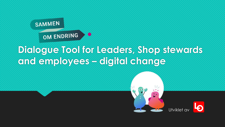

## **Dialogue Tool for Leaders, Shop stewards and employees – digital change**



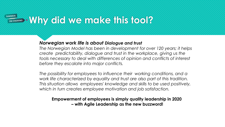### **SAMMEN Why** did we make this tool?

### *Norwegian work life is about Dialogue and trust*

*The Norwegian Model has been in development for over 120 years; it helps create predictability, dialogue and trust in the workplace, giving us the tools necessary to deal with differences of opinion and conflicts of interest before they escalate into major conflicts.*

*The possibility for employees to influence their working conditions, and a work life characterized by equality and trust are also part of this tradition. This situation allows employees' knowledge and skills to be used positively, which in turn creates employee motivation and job satisfaction.*

**Empowerment of employees is simply quality leadership in 2020 – with Agile Leadership as the new buzzword!**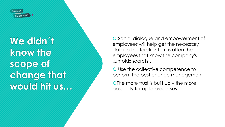

**We didn ´t know the scope of change that would hit us…**

O Social dialogue and empowerment of employees will help get the necessary data to the forefront – it is often the employees that know the company's «untold» secrets…

O Use the collective competence to perform the best change management

O The more trust is built  $up$  – the more possibility for agile processes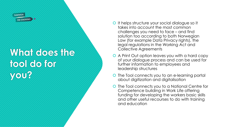

## **What does the tool do for you?**

- It helps structure your social dialogue so it takes into account the most common challenges you need to face – and find solution too according to both Norwegian Law (for example Data Privacy rights), the legal regulations in the Working Act and Collective Agreements
- A Print Out option leaves you with a hard copy of your dialogue process and can be used for further information to employees and leadership structures
- **O** The Tool connects you to an e-learning portal about digitization and digitalisation
- **O** The Tool connects you to a National Centre for Competence building in Work Life offering funding for developing the workers basic skills and other useful recourses to do with training and education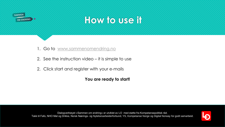

## **How to use it**

- 1. Go to [www.sammenomendring.no](http://www.sammenomendring.no/)
- 2. See the instruction video it is simple to use
- 2. Click start and register with your e-mails

### **You are ready to start!**

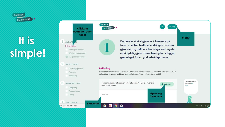

# **It is simple!**